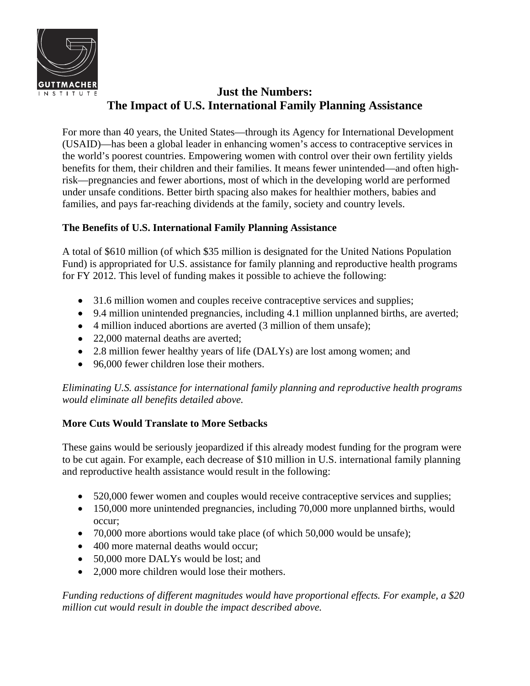

## **Just the Numbers: The Impact of U.S. International Family Planning Assistance**

For more than 40 years, the United States—through its Agency for International Development (USAID)—has been a global leader in enhancing women's access to contraceptive services in the world's poorest countries. Empowering women with control over their own fertility yields benefits for them, their children and their families. It means fewer unintended—and often highrisk—pregnancies and fewer abortions, most of which in the developing world are performed under unsafe conditions. Better birth spacing also makes for healthier mothers, babies and families, and pays far-reaching dividends at the family, society and country levels.

## **The Benefits of U.S. International Family Planning Assistance**

A total of \$610 million (of which \$35 million is designated for the United Nations Population Fund) is appropriated for U.S. assistance for family planning and reproductive health programs for FY 2012. This level of funding makes it possible to achieve the following:

- 31.6 million women and couples receive contraceptive services and supplies;
- 9.4 million unintended pregnancies, including 4.1 million unplanned births, are averted;
- 4 million induced abortions are averted (3 million of them unsafe);
- 22,000 maternal deaths are averted;
- 2.8 million fewer healthy years of life (DALYs) are lost among women; and
- 96,000 fewer children lose their mothers.

*Eliminating U.S. assistance for international family planning and reproductive health programs would eliminate all benefits detailed above.* 

## **More Cuts Would Translate to More Setbacks**

These gains would be seriously jeopardized if this already modest funding for the program were to be cut again. For example, each decrease of \$10 million in U.S. international family planning and reproductive health assistance would result in the following:

- 520,000 fewer women and couples would receive contraceptive services and supplies;
- 150,000 more unintended pregnancies, including 70,000 more unplanned births, would occur;
- 70,000 more abortions would take place (of which 50,000 would be unsafe);
- 400 more maternal deaths would occur:
- 50,000 more DALYs would be lost; and
- 2,000 more children would lose their mothers.

*Funding reductions of different magnitudes would have proportional effects. For example, a \$20 million cut would result in double the impact described above.*